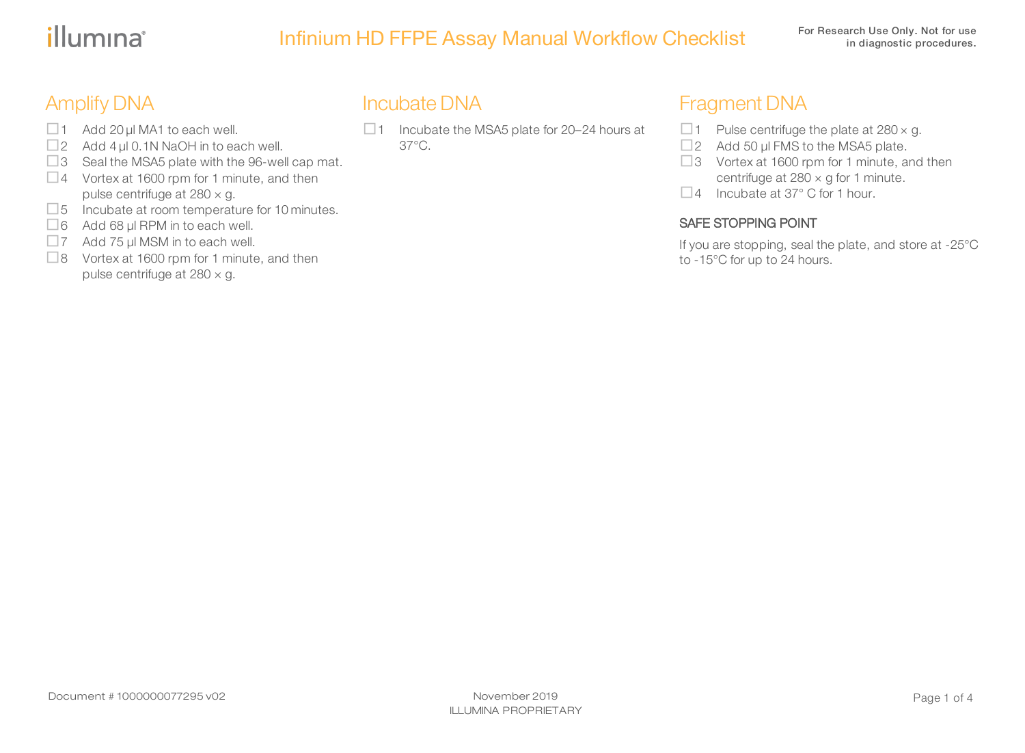# illumina®

# Infinium HD FFPE Assay Manual Workflow Checklist For Research Use Only. Not for use

# Amplify DNA

- $\Box$  1 Add 20 µl MA1 to each well.
- $\Box$  2 Add 4 µl 0.1N NaOH in to each well.
- $\Box$ 3 Seal the MSA5 plate with the 96-well cap mat.
- $\Box$  4 Vortex at 1600 rpm for 1 minute, and then pulse centrifuge at  $280 \times g$ .
- $\square$ 5 Incubate at room temperature for 10 minutes.
- $\Box$ 6 Add 68 μl RPM in to each well.
- $\Box$  7 Add 75 μl MSM in to each well.
- $\Box$ 8 Vortex at 1600 rpm for 1 minute, and then pulse centrifuge at  $280 \times g$ .

#### Incubate DNA

 $\Box$  1 Incubate the MSA5 plate for 20–24 hours at 37°C.

### Fragment DNA

- $\Box$  1 Pulse centrifuge the plate at 280  $\times$  g.
- $\Box$ 2 Add 50 μl FMS to the MSA5 plate.
- $\Box$ 3 Vortex at 1600 rpm for 1 minute, and then centrifuge at  $280 \times g$  for 1 minute.
- $\Box$  4 Incubate at 37° C for 1 hour.

#### SAFE STOPPING POINT

If you are stopping, seal the plate, and store at -25°C to -15°C for up to 24 hours.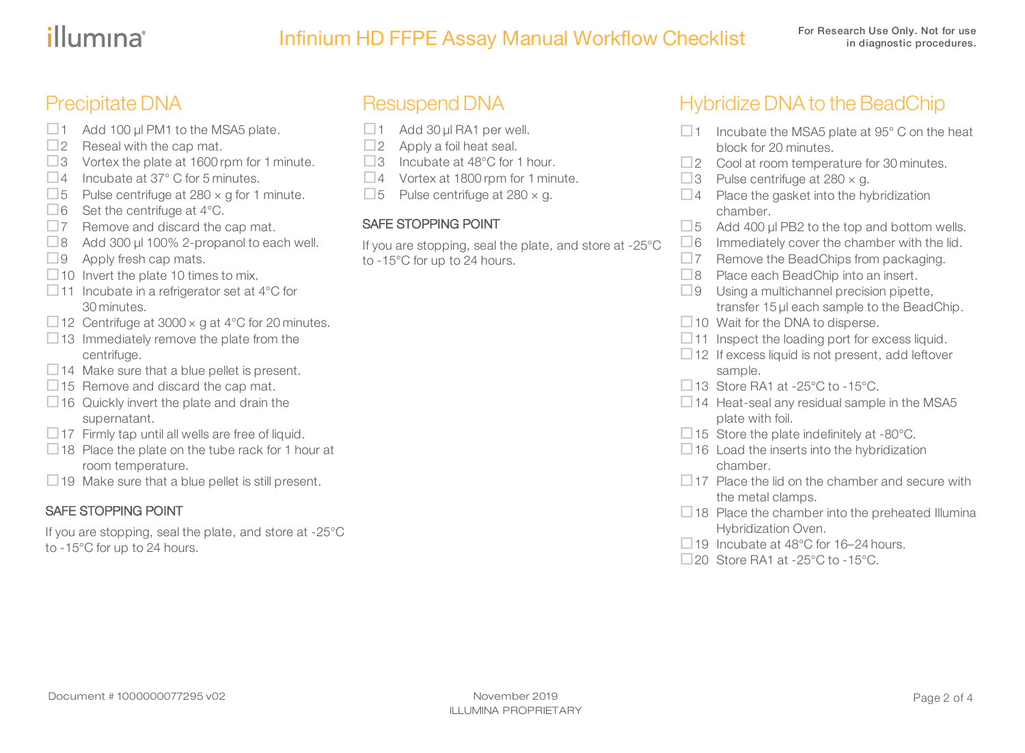# illumina®

## Precipitate DNA

- $\Box$  1 Add 100 μl PM1 to the MSA5 plate.
- $\square$ 2 Reseal with the cap mat.
- $\Box$ 3 Vortex the plate at 1600 rpm for 1 minute.
- $\Box$  4 Incubate at 37 $^{\circ}$  C for 5 minutes.
- $\Box$  5 Pulse centrifuge at 280  $\times$  g for 1 minute.
- $\Box$  6 Set the centrifuge at 4°C.
- $\square$ 7 Remove and discard the cap mat.
- $\Box$ 8 Add 300 μl 100% 2-propanol to each well.
- $\Box$ 9 Apply fresh cap mats.
- $\Box$  10 Invert the plate 10 times to mix.
- $\Box$  11 Incubate in a refrigerator set at 4°C for 30 minutes.
- □12 Centrifuge at  $3000 \times g$  at 4°C for 20 minutes.
- $\Box$ 13 Immediately remove the plate from the centrifuge.
- $\Box$  14 Make sure that a blue pellet is present.
- $\Box$ 15 Remove and discard the cap mat.
- $\Box$  16 Quickly invert the plate and drain the supernatant.
- $\Box$  17 Firmly tap until all wells are free of liquid.
- $\Box$  18 Place the plate on the tube rack for 1 hour at room temperature.
- $\Box$  19 Make sure that a blue pellet is still present.

#### SAFE STOPPING POINT

If you are stopping, seal the plate, and store at -25°C to -15°C for up to 24 hours.

# Resuspend DNA

- $\Box$ 1 Add 30 µl RA1 per well.
- $\square$ 2 Apply a foil heat seal.
- $\Box$ 3 Incubate at 48°C for 1 hour.
- $\Box$  4 Vortex at 1800 rpm for 1 minute.
- $\Box$  5 Pulse centrifuge at 280  $\times$  g.

#### SAFE STOPPING POINT

If you are stopping, seal the plate, and store at -25°C to -15°C for up to 24 hours.

# Hybridize DNA to the BeadChip

- $\Box$  1 Incubate the MSA5 plate at 95 $^{\circ}$  C on the heat block for 20 minutes.
- $\square$ 2 Cool at room temperature for 30 minutes.
- $\Box$  3 Pulse centrifuge at 280  $\times$  g.
- $\Box$  4 Place the gasket into the hybridization chamber.
- $\Box$  5 Add 400 µl PB2 to the top and bottom wells.
- $\Box$  6 Immediately cover the chamber with the lid.
- $\square$ 7 Remove the BeadChips from packaging.
- $\Box$ 8 Place each BeadChip into an insert.
- $\Box$ 9 Using a multichannel precision pipette, transfer 15 µl each sample to the BeadChip.
- $\Box$  10 Wait for the DNA to disperse.
- $\Box$  11 Inspect the loading port for excess liquid.
- $\Box$  12 If excess liquid is not present, add leftover sample.
- $\Box$  13 Store RA1 at -25°C to -15°C.
- $\Box$  14 Heat-seal any residual sample in the MSA5 plate with foil.
- $\Box$  15 Store the plate indefinitely at -80 $^{\circ}$ C.
- $\Box$  16 Load the inserts into the hybridization chamber.
- $\Box$  17 Place the lid on the chamber and secure with the metal clamps.
- $\Box$  18 Place the chamber into the preheated Illumina Hybridization Oven.
- $\Box$  19 Incubate at 48°C for 16–24 hours.
- □20 Store RA1 at -25 $\degree$ C to -15 $\degree$ C.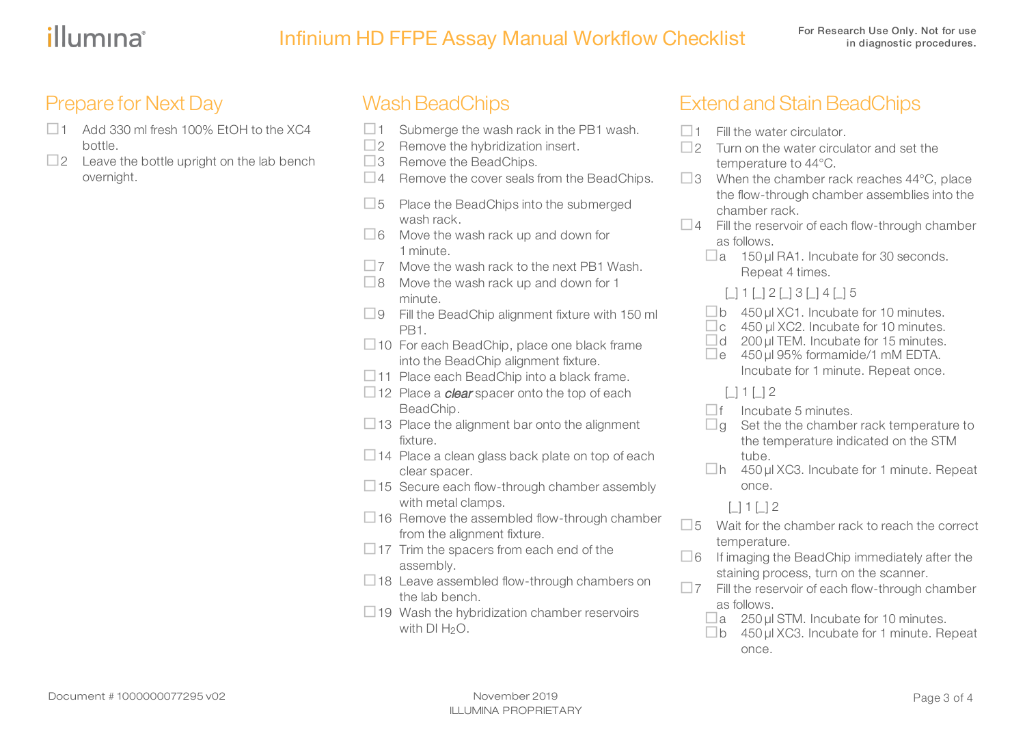### Prepare for Next Day

- $\Box$ 1 Add 330 ml fresh 100% EtOH to the XC4 bottle.
- $\square$ 2 Leave the bottle upright on the lab bench overnight.

### **Wash BeadChips**

- $\Box$  1 Submerge the wash rack in the PB1 wash.
- $\square$ 2 Remove the hybridization insert.
- $\Box$ 3 Remove the BeadChips.
- $\Box$  4 Remove the cover seals from the BeadChips.
- $\square$ 5 Place the BeadChips into the submerged wash rack.
- $\Box$ 6 Move the wash rack up and down for 1 minute.
- $\square$ 7 Move the wash rack to the next PB1 Wash.
- $\Box$ 8 Move the wash rack up and down for 1 minute.
- $\Box$ 9 Fill the BeadChip alignment fixture with 150 ml PB1.
- $\Box$  10 For each BeadChip, place one black frame into the BeadChip alignment fixture.
- $\Box$ 11 Place each BeadChip into a black frame.
- $\Box$  12 Place a *clear* spacer onto the top of each BeadChip.
- $\Box$  13 Place the alignment bar onto the alignment fixture.
- $\Box$  14 Place a clean glass back plate on top of each clear spacer.
- $\Box$  15 Secure each flow-through chamber assembly with metal clamps.
- $\Box$  16 Remove the assembled flow-through chamber from the alignment fixture.
- $\Box$  17 Trim the spacers from each end of the assembly.
- $\Box$  18 Leave assembled flow-through chambers on the lab bench.
- $\Box$  19 Wash the hybridization chamber reservoirs with  $DI H<sub>2</sub>O$ .

# **Extend and Stain BeadChips**

- $\Box$  1 Fill the water circulator.
- $\Box$ 2 Turn on the water circulator and set the temperature to 44°C.
- $\Box$ 3 When the chamber rack reaches 44 $\degree$ C, place the flow-through chamber assemblies into the chamber rack.
- $\Box$  4 Fill the reservoir of each flow-through chamber as follows.
	- $\Box$ a 150 µl RA1. Incubate for 30 seconds. Repeat 4 times.
		- $\Box$  1  $\Box$  2  $\Box$  3  $\Box$  4  $\Box$  5
	- $\Box$  b 450 µl XC1. Incubate for 10 minutes.
	- $\Box$ c 450 µl XC2. Incubate for 10 minutes.
	- $\Box$ d 200 µl TEM. Incubate for 15 minutes.
	- $\Box$ e 450 µl 95% formamide/1 mM EDTA. Incubate for 1 minute. Repeat once.
		- $\Box$  1  $\Box$  2
	- $\square$  f Incubate 5 minutes.
	- $\Box$ g Set the the chamber rack temperature to the temperature indicated on the STM tube.
	- $\Box$ h 450 µl XC3. Incubate for 1 minute. Repeat once.
		- $\Box$  1  $\Box$  2
- $\square$ 5 Wait for the chamber rack to reach the correct temperature.
- $\Box$  6 If imaging the BeadChip immediately after the staining process, turn on the scanner.
- $\square$ 7 Fill the reservoir of each flow-through chamber as follows.
	- $\Box$  a 250 µl STM. Incubate for 10 minutes.
	- $\square$ b 450 µl XC3. Incubate for 1 minute. Repeat once.